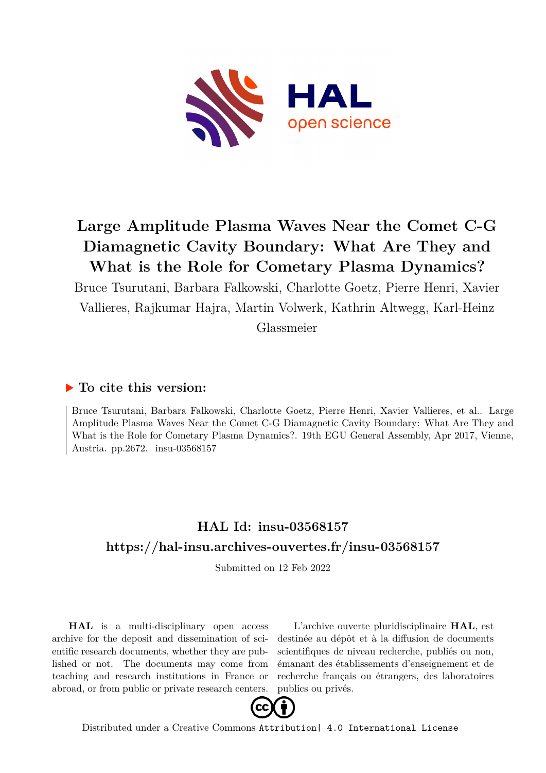

## **Large Amplitude Plasma Waves Near the Comet C-G Diamagnetic Cavity Boundary: What Are They and What is the Role for Cometary Plasma Dynamics?**

Bruce Tsurutani, Barbara Falkowski, Charlotte Goetz, Pierre Henri, Xavier Vallieres, Rajkumar Hajra, Martin Volwerk, Kathrin Altwegg, Karl-Heinz

Glassmeier

## **To cite this version:**

Bruce Tsurutani, Barbara Falkowski, Charlotte Goetz, Pierre Henri, Xavier Vallieres, et al.. Large Amplitude Plasma Waves Near the Comet C-G Diamagnetic Cavity Boundary: What Are They and What is the Role for Cometary Plasma Dynamics?. 19th EGU General Assembly, Apr 2017, Vienne, Austria. pp. 2672. insu-03568157

## **HAL Id: insu-03568157 <https://hal-insu.archives-ouvertes.fr/insu-03568157>**

Submitted on 12 Feb 2022

**HAL** is a multi-disciplinary open access archive for the deposit and dissemination of scientific research documents, whether they are published or not. The documents may come from teaching and research institutions in France or abroad, or from public or private research centers.

L'archive ouverte pluridisciplinaire **HAL**, est destinée au dépôt et à la diffusion de documents scientifiques de niveau recherche, publiés ou non, émanant des établissements d'enseignement et de recherche français ou étrangers, des laboratoires publics ou privés.



Distributed under a Creative Commons [Attribution| 4.0 International License](http://creativecommons.org/licenses/by/4.0/)